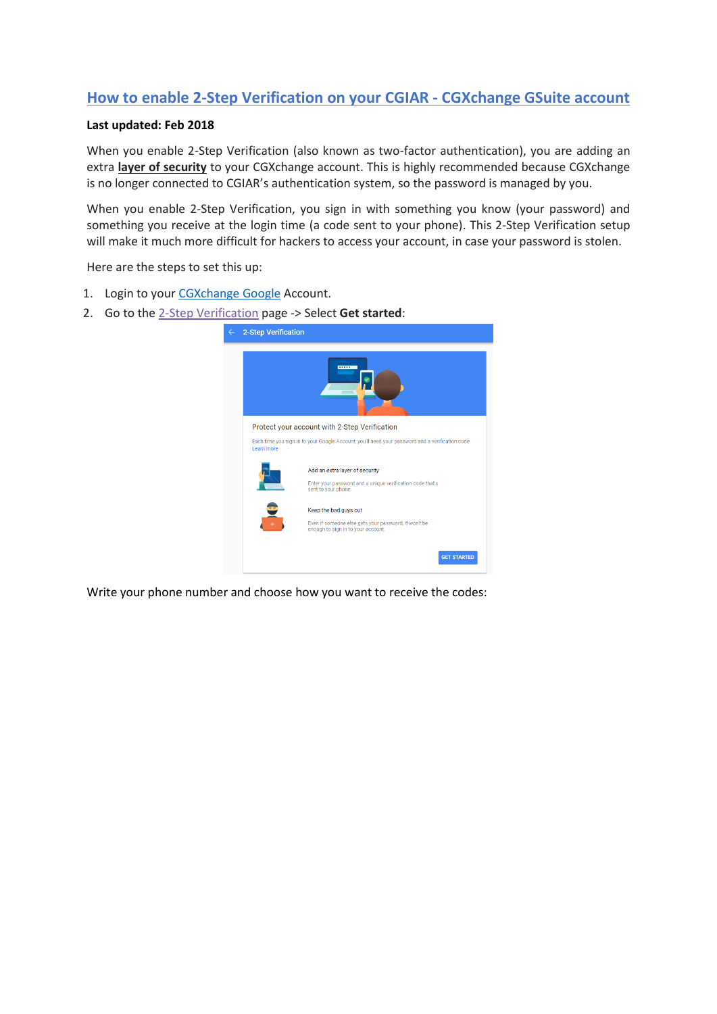## **How to enable 2-Step Verification on your CGIAR - CGXchange GSuite account**

## **Last updated: Feb 2018**

When you enable 2-Step Verification (also known as two-factor authentication), you are adding an extra **layer of security** to your CGXchange account. This is highly recommended because CGXchange is no longer connected to CGIAR's authentication system, so the password is managed by you.

When you enable 2-Step Verification, you sign in with something you know (your password) and something you receive at the login time (a code sent to your phone). This 2-Step Verification setup will make it much more difficult for hackers to access your account, in case your password is stolen.

Here are the steps to set this up:

- 1. Login to your [CGXchange](http://www.cgxchange.org/home/sign-in) Google Account.
- 2. Go to the [2-Step Verification](https://myaccount.google.com/signinoptions/two-step-verification/enroll-welcome) page -> Select **Get started**:

| <b>2-Step Verification</b> |                                                                                                                    |
|----------------------------|--------------------------------------------------------------------------------------------------------------------|
|                            | <b>COLOR</b>                                                                                                       |
|                            | Protect your account with 2-Step Verification                                                                      |
| Learn more                 | Each time you sign in to your Google Account, you'll need your password and a verification code.                   |
|                            | Add an extra layer of security<br>Enter your password and a unique verification code that's<br>sent to your phone. |
|                            | Keep the bad guys out                                                                                              |
|                            | Even if someone else gets your password, it won't be<br>enough to sign in to your account.                         |
|                            | <b>GET STARTED</b>                                                                                                 |

Write your phone number and choose how you want to receive the codes: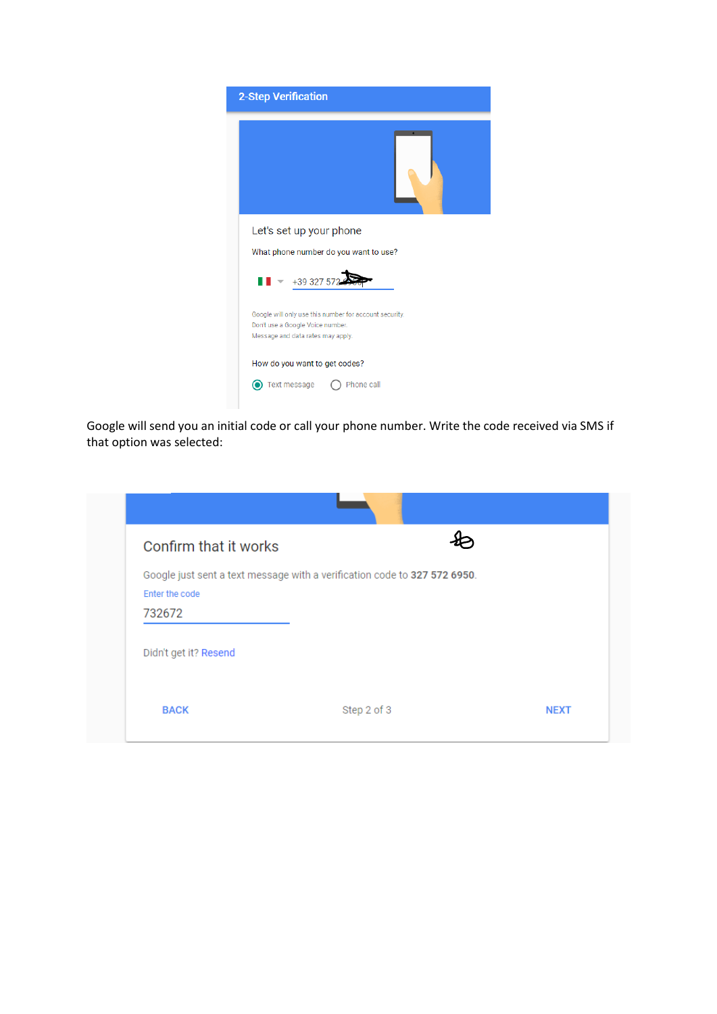| <b>2-Step Verification</b>                                                                                                      |
|---------------------------------------------------------------------------------------------------------------------------------|
|                                                                                                                                 |
| Let's set up your phone                                                                                                         |
| What phone number do you want to use?                                                                                           |
| $\blacksquare$ +39 327 572                                                                                                      |
| Google will only use this number for account security.<br>Don't use a Google Voice number.<br>Message and data rates may apply. |
| How do you want to get codes?                                                                                                   |
| Text message<br>Phone call                                                                                                      |

Google will send you an initial code or call your phone number. Write the code received via SMS if that option was selected:

| Confirm that it works |                                                                           |  |
|-----------------------|---------------------------------------------------------------------------|--|
|                       | Google just sent a text message with a verification code to 327 572 6950. |  |
| Enter the code        |                                                                           |  |
| 732672                |                                                                           |  |
| Didn't get it? Resend |                                                                           |  |
|                       |                                                                           |  |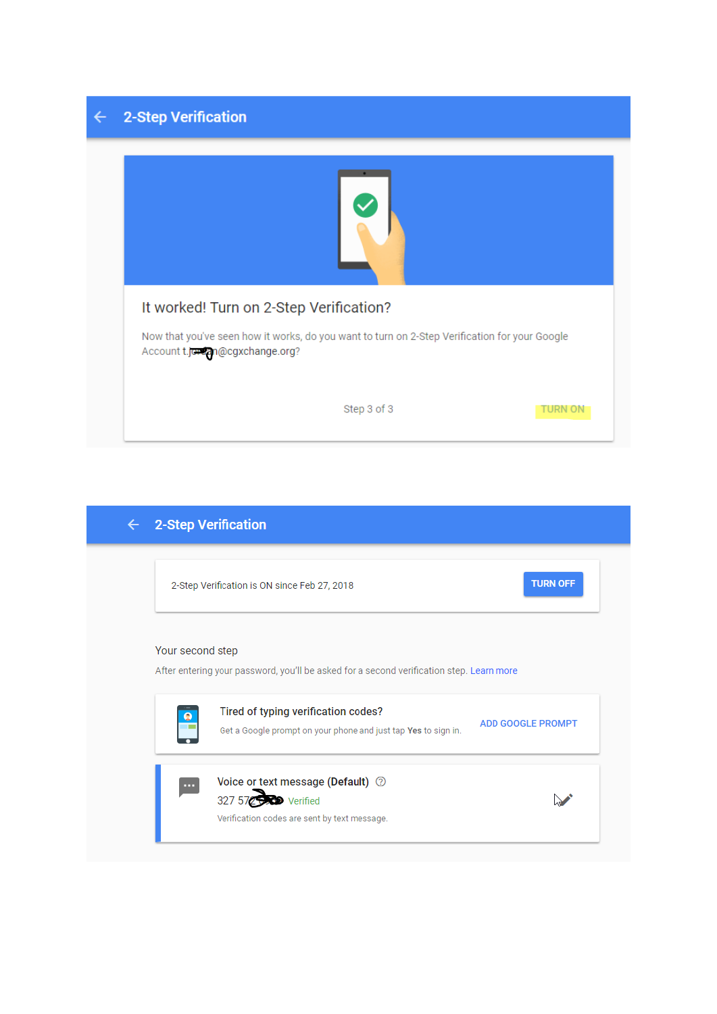## $\leftarrow$  2-Step Verification

| It worked! Turn on 2-Step Verification? | Now that you've seen how it works, do you want to turn on 2-Step Verification for your Google<br>Account t.jordan@cgxchange.org? |  |  |
|-----------------------------------------|----------------------------------------------------------------------------------------------------------------------------------|--|--|
|                                         |                                                                                                                                  |  |  |

| $\leftarrow$ | 2-Step Verification                                                                                          |                          |  |
|--------------|--------------------------------------------------------------------------------------------------------------|--------------------------|--|
|              | 2-Step Verification is ON since Feb 27, 2018                                                                 | <b>TURN OFF</b>          |  |
|              | Your second step<br>After entering your password, you'll be asked for a second verification step. Learn more |                          |  |
|              | Tired of typing verification codes?<br>Get a Google prompt on your phone and just tap Yes to sign in.        | <b>ADD GOOGLE PROMPT</b> |  |
|              | Voice or text message (Default) 2<br>327 572 573 Verified<br>Verification codes are sent by text message.    |                          |  |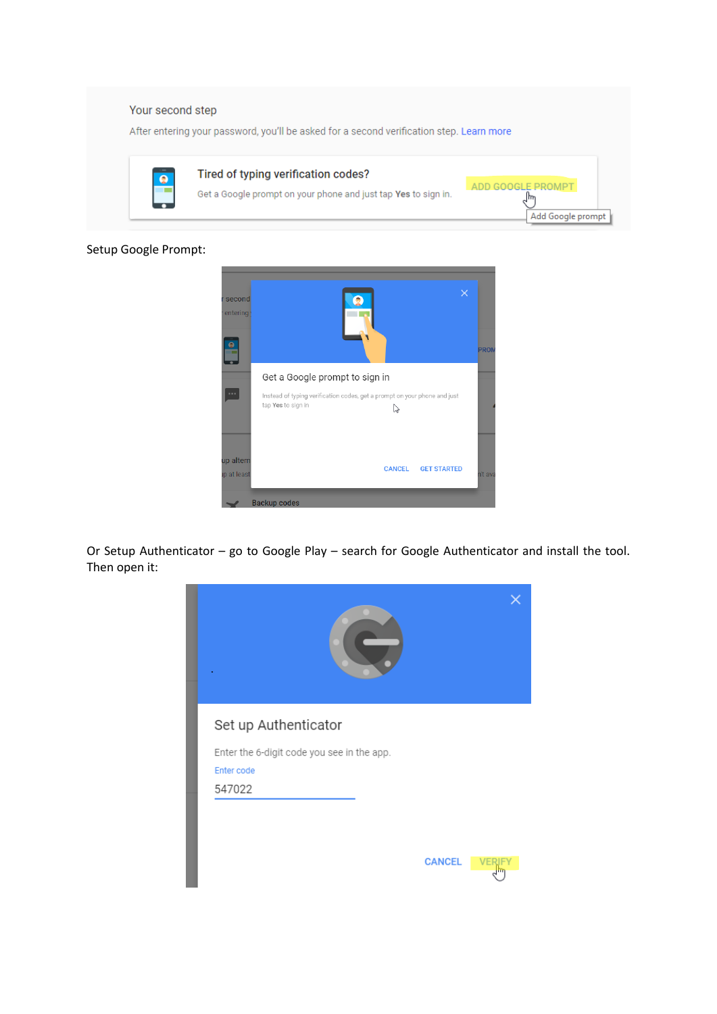

Setup Google Prompt:



Or Setup Authenticator – go to Google Play – search for Google Authenticator and install the tool. Then open it: